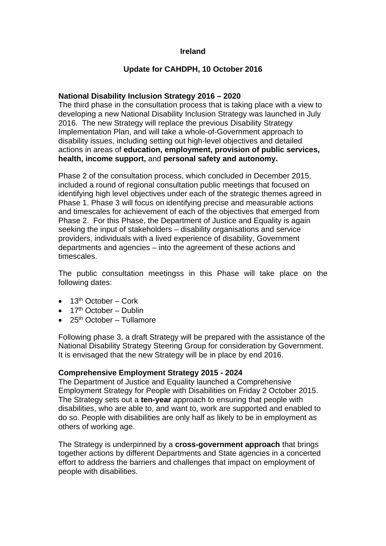# **Ireland**

# **Update for CAHDPH, 10 October 2016**

# **National Disability Inclusion Strategy 2016 – 2020**

The third phase in the consultation process that is taking place with a view to developing a new National Disability Inclusion Strategy was launched in July 2016. The new Strategy will replace the previous Disability Strategy Implementation Plan, and will take a whole-of-Government approach to disability issues, including setting out high-level objectives and detailed actions in areas of **education, employment, provision of public services, health, income support,** and **personal safety and autonomy.**

Phase 2 of the consultation process, which concluded in December 2015, included a round of regional consultation public meetings that focused on identifying high level objectives under each of the strategic themes agreed in Phase 1. Phase 3 will focus on identifying precise and measurable actions and timescales for achievement of each of the objectives that emerged from Phase 2. For this Phase, the Department of Justice and Equality is again seeking the input of stakeholders – disability organisations and service providers, individuals with a lived experience of disability, Government departments and agencies – into the agreement of these actions and timescales.

The public consultation meetingss in this Phase will take place on the following dates:

- $\bullet$  13<sup>th</sup> October Cork
- $\bullet$  17<sup>th</sup> October Dublin
- $\bullet$  25<sup>th</sup> October Tullamore

Following phase 3, a draft Strategy will be prepared with the assistance of the National Disability Strategy Steering Group for consideration by Government. It is envisaged that the new Strategy will be in place by end 2016.

### **Comprehensive Employment Strategy 2015 - 2024**

The Department of Justice and Equality launched a Comprehensive Employment Strategy for People with Disabilities on Friday 2 October 2015. The Strategy sets out a **ten-year** approach to ensuring that people with disabilities, who are able to, and want to, work are supported and enabled to do so. People with disabilities are only half as likely to be in employment as others of working age.

The Strategy is underpinned by a **cross-government approach** that brings together actions by different Departments and State agencies in a concerted effort to address the barriers and challenges that impact on employment of people with disabilities.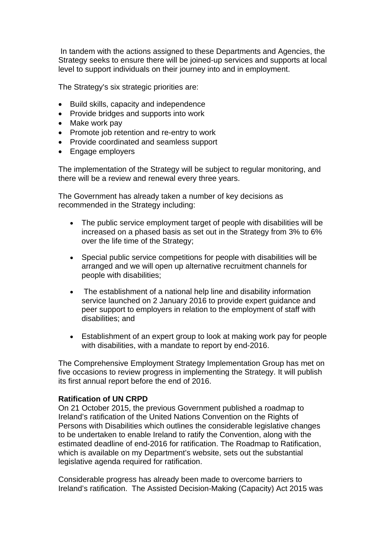In tandem with the actions assigned to these Departments and Agencies, the Strategy seeks to ensure there will be joined-up services and supports at local level to support individuals on their journey into and in employment.

The Strategy's six strategic priorities are:

- Build skills, capacity and independence
- Provide bridges and supports into work
- Make work pay
- Promote job retention and re-entry to work
- Provide coordinated and seamless support
- Engage employers

The implementation of the Strategy will be subject to regular monitoring, and there will be a review and renewal every three years.

The Government has already taken a number of key decisions as recommended in the Strategy including:

- The public service employment target of people with disabilities will be increased on a phased basis as set out in the Strategy from 3% to 6% over the life time of the Strategy;
- Special public service competitions for people with disabilities will be arranged and we will open up alternative recruitment channels for people with disabilities;
- The establishment of a national help line and disability information service launched on 2 January 2016 to provide expert guidance and peer support to employers in relation to the employment of staff with disabilities; and
- Establishment of an expert group to look at making work pay for people with disabilities, with a mandate to report by end-2016.

The Comprehensive Employment Strategy Implementation Group has met on five occasions to review progress in implementing the Strategy. It will publish its first annual report before the end of 2016.

### **Ratification of UN CRPD**

On 21 October 2015, the previous Government published a roadmap to Ireland's ratification of the United Nations Convention on the Rights of Persons with Disabilities which outlines the considerable legislative changes to be undertaken to enable Ireland to ratify the Convention, along with the estimated deadline of end-2016 for ratification. The Roadmap to Ratification, which is available on my Department's website, sets out the substantial legislative agenda required for ratification.

Considerable progress has already been made to overcome barriers to Ireland's ratification. The Assisted Decision-Making (Capacity) Act 2015 was